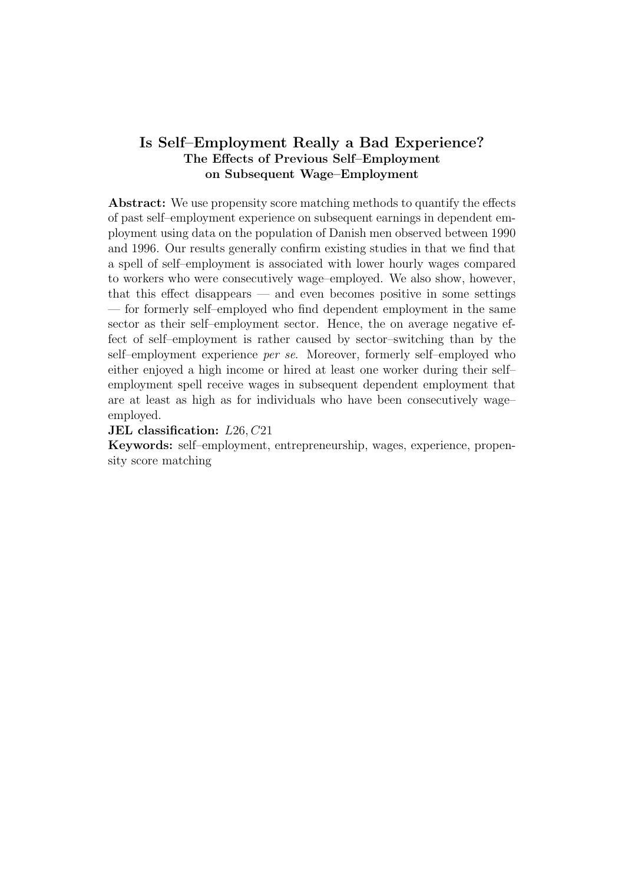## Is Self–Employment Really a Bad Experience? The Effects of Previous Self–Employment on Subsequent Wage–Employment

Abstract: We use propensity score matching methods to quantify the effects of past self–employment experience on subsequent earnings in dependent employment using data on the population of Danish men observed between 1990 and 1996. Our results generally confirm existing studies in that we find that a spell of self–employment is associated with lower hourly wages compared to workers who were consecutively wage–employed. We also show, however, that this effect disappears — and even becomes positive in some settings — for formerly self–employed who find dependent employment in the same sector as their self–employment sector. Hence, the on average negative effect of self–employment is rather caused by sector–switching than by the self–employment experience per se. Moreover, formerly self–employed who either enjoyed a high income or hired at least one worker during their self– employment spell receive wages in subsequent dependent employment that are at least as high as for individuals who have been consecutively wage– employed.

### JEL classification: L26, C21

Keywords: self–employment, entrepreneurship, wages, experience, propensity score matching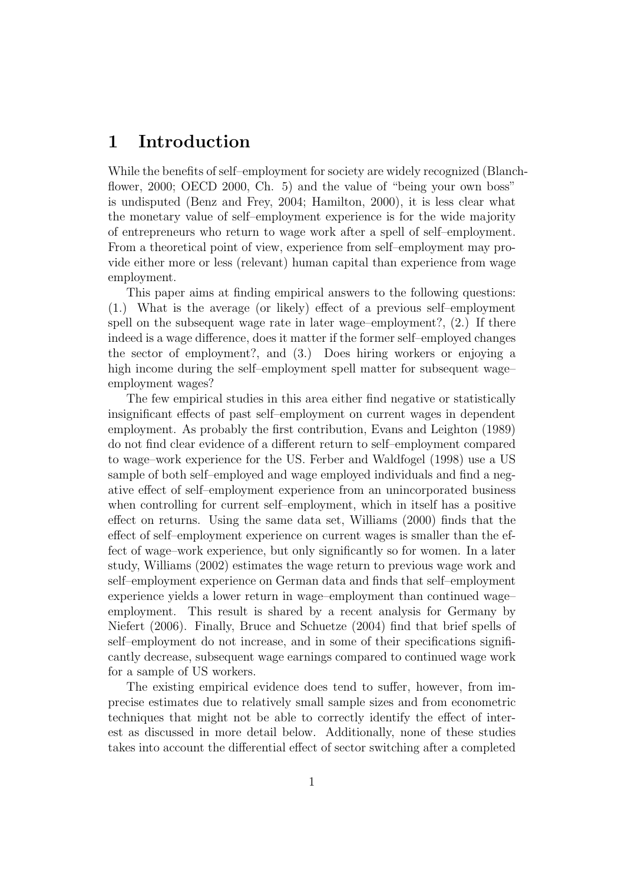# 1 Introduction

While the benefits of self–employment for society are widely recognized (Blanchflower, 2000; OECD 2000, Ch. 5) and the value of "being your own boss" is undisputed (Benz and Frey, 2004; Hamilton, 2000), it is less clear what the monetary value of self–employment experience is for the wide majority of entrepreneurs who return to wage work after a spell of self–employment. From a theoretical point of view, experience from self–employment may provide either more or less (relevant) human capital than experience from wage employment.

This paper aims at finding empirical answers to the following questions: (1.) What is the average (or likely) effect of a previous self–employment spell on the subsequent wage rate in later wage–employment?, (2.) If there indeed is a wage difference, does it matter if the former self–employed changes the sector of employment?, and (3.) Does hiring workers or enjoying a high income during the self–employment spell matter for subsequent wage– employment wages?

The few empirical studies in this area either find negative or statistically insignificant effects of past self–employment on current wages in dependent employment. As probably the first contribution, Evans and Leighton (1989) do not find clear evidence of a different return to self–employment compared to wage–work experience for the US. Ferber and Waldfogel (1998) use a US sample of both self–employed and wage employed individuals and find a negative effect of self–employment experience from an unincorporated business when controlling for current self–employment, which in itself has a positive effect on returns. Using the same data set, Williams (2000) finds that the effect of self–employment experience on current wages is smaller than the effect of wage–work experience, but only significantly so for women. In a later study, Williams (2002) estimates the wage return to previous wage work and self–employment experience on German data and finds that self–employment experience yields a lower return in wage–employment than continued wage– employment. This result is shared by a recent analysis for Germany by Niefert (2006). Finally, Bruce and Schuetze (2004) find that brief spells of self–employment do not increase, and in some of their specifications significantly decrease, subsequent wage earnings compared to continued wage work for a sample of US workers.

The existing empirical evidence does tend to suffer, however, from imprecise estimates due to relatively small sample sizes and from econometric techniques that might not be able to correctly identify the effect of interest as discussed in more detail below. Additionally, none of these studies takes into account the differential effect of sector switching after a completed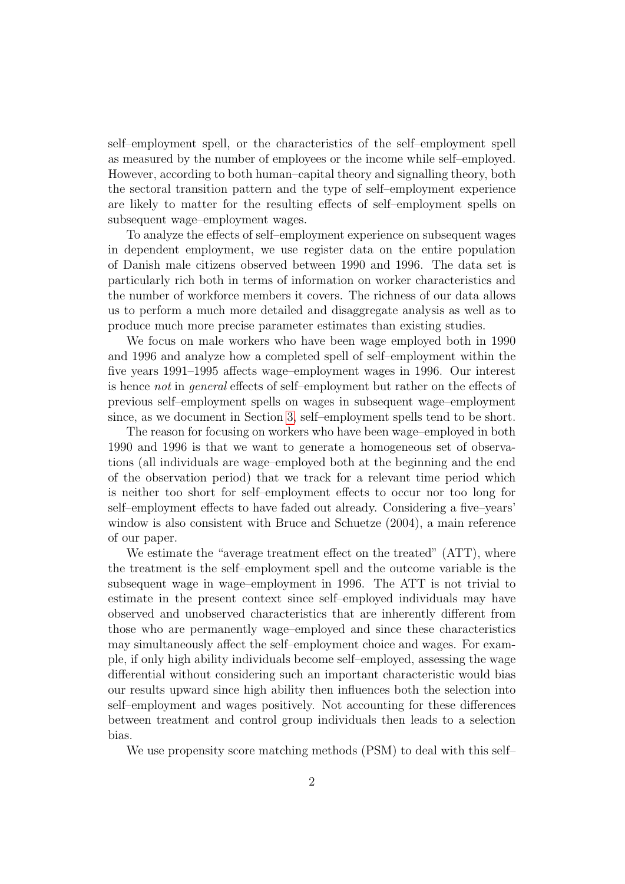self–employment spell, or the characteristics of the self–employment spell as measured by the number of employees or the income while self–employed. However, according to both human–capital theory and signalling theory, both the sectoral transition pattern and the type of self–employment experience are likely to matter for the resulting effects of self–employment spells on subsequent wage–employment wages.

To analyze the effects of self–employment experience on subsequent wages in dependent employment, we use register data on the entire population of Danish male citizens observed between 1990 and 1996. The data set is particularly rich both in terms of information on worker characteristics and the number of workforce members it covers. The richness of our data allows us to perform a much more detailed and disaggregate analysis as well as to produce much more precise parameter estimates than existing studies.

We focus on male workers who have been wage employed both in 1990 and 1996 and analyze how a completed spell of self–employment within the five years 1991–1995 affects wage–employment wages in 1996. Our interest is hence not in general effects of self–employment but rather on the effects of previous self–employment spells on wages in subsequent wage–employment since, as we document in Section [3,](#page-5-0) self–employment spells tend to be short.

The reason for focusing on workers who have been wage–employed in both 1990 and 1996 is that we want to generate a homogeneous set of observations (all individuals are wage–employed both at the beginning and the end of the observation period) that we track for a relevant time period which is neither too short for self–employment effects to occur nor too long for self–employment effects to have faded out already. Considering a five–years' window is also consistent with Bruce and Schuetze (2004), a main reference of our paper.

We estimate the "average treatment effect on the treated" (ATT), where the treatment is the self–employment spell and the outcome variable is the subsequent wage in wage–employment in 1996. The ATT is not trivial to estimate in the present context since self–employed individuals may have observed and unobserved characteristics that are inherently different from those who are permanently wage–employed and since these characteristics may simultaneously affect the self–employment choice and wages. For example, if only high ability individuals become self–employed, assessing the wage differential without considering such an important characteristic would bias our results upward since high ability then influences both the selection into self–employment and wages positively. Not accounting for these differences between treatment and control group individuals then leads to a selection bias.

We use propensity score matching methods (PSM) to deal with this self-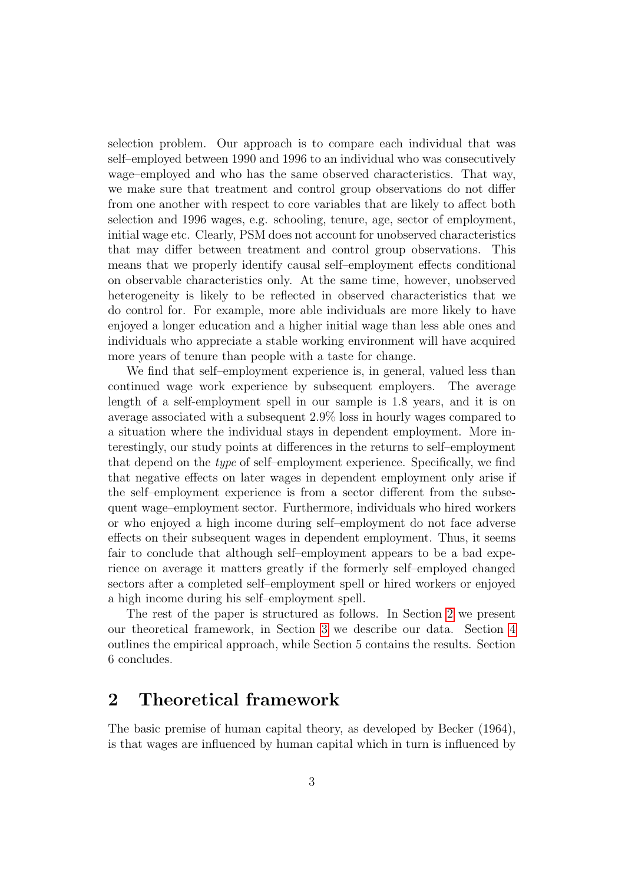selection problem. Our approach is to compare each individual that was self–employed between 1990 and 1996 to an individual who was consecutively wage–employed and who has the same observed characteristics. That way, we make sure that treatment and control group observations do not differ from one another with respect to core variables that are likely to affect both selection and 1996 wages, e.g. schooling, tenure, age, sector of employment, initial wage etc. Clearly, PSM does not account for unobserved characteristics that may differ between treatment and control group observations. This means that we properly identify causal self–employment effects conditional on observable characteristics only. At the same time, however, unobserved heterogeneity is likely to be reflected in observed characteristics that we do control for. For example, more able individuals are more likely to have enjoyed a longer education and a higher initial wage than less able ones and individuals who appreciate a stable working environment will have acquired more years of tenure than people with a taste for change.

We find that self-employment experience is, in general, valued less than continued wage work experience by subsequent employers. The average length of a self-employment spell in our sample is 1.8 years, and it is on average associated with a subsequent 2.9% loss in hourly wages compared to a situation where the individual stays in dependent employment. More interestingly, our study points at differences in the returns to self–employment that depend on the type of self–employment experience. Specifically, we find that negative effects on later wages in dependent employment only arise if the self–employment experience is from a sector different from the subsequent wage–employment sector. Furthermore, individuals who hired workers or who enjoyed a high income during self–employment do not face adverse effects on their subsequent wages in dependent employment. Thus, it seems fair to conclude that although self–employment appears to be a bad experience on average it matters greatly if the formerly self–employed changed sectors after a completed self–employment spell or hired workers or enjoyed a high income during his self–employment spell.

The rest of the paper is structured as follows. In Section [2](#page-3-0) we present our theoretical framework, in Section [3](#page-5-0) we describe our data. Section [4](#page-7-0) outlines the empirical approach, while Section 5 contains the results. Section 6 concludes.

## <span id="page-3-0"></span>2 Theoretical framework

The basic premise of human capital theory, as developed by Becker (1964), is that wages are influenced by human capital which in turn is influenced by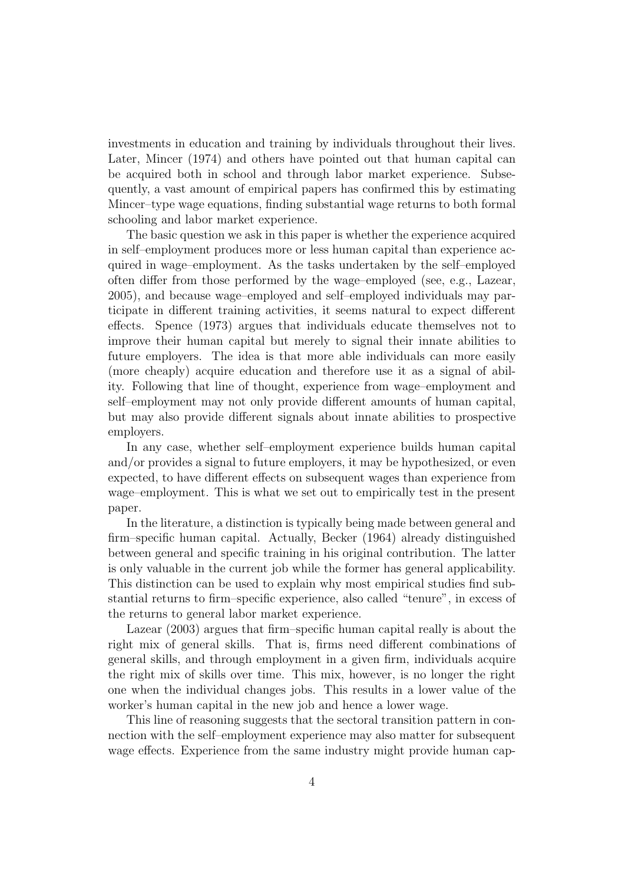investments in education and training by individuals throughout their lives. Later, Mincer (1974) and others have pointed out that human capital can be acquired both in school and through labor market experience. Subsequently, a vast amount of empirical papers has confirmed this by estimating Mincer–type wage equations, finding substantial wage returns to both formal schooling and labor market experience.

The basic question we ask in this paper is whether the experience acquired in self–employment produces more or less human capital than experience acquired in wage–employment. As the tasks undertaken by the self–employed often differ from those performed by the wage–employed (see, e.g., Lazear, 2005), and because wage–employed and self–employed individuals may participate in different training activities, it seems natural to expect different effects. Spence (1973) argues that individuals educate themselves not to improve their human capital but merely to signal their innate abilities to future employers. The idea is that more able individuals can more easily (more cheaply) acquire education and therefore use it as a signal of ability. Following that line of thought, experience from wage–employment and self–employment may not only provide different amounts of human capital, but may also provide different signals about innate abilities to prospective employers.

In any case, whether self–employment experience builds human capital and/or provides a signal to future employers, it may be hypothesized, or even expected, to have different effects on subsequent wages than experience from wage–employment. This is what we set out to empirically test in the present paper.

In the literature, a distinction is typically being made between general and firm–specific human capital. Actually, Becker (1964) already distinguished between general and specific training in his original contribution. The latter is only valuable in the current job while the former has general applicability. This distinction can be used to explain why most empirical studies find substantial returns to firm–specific experience, also called "tenure", in excess of the returns to general labor market experience.

Lazear (2003) argues that firm–specific human capital really is about the right mix of general skills. That is, firms need different combinations of general skills, and through employment in a given firm, individuals acquire the right mix of skills over time. This mix, however, is no longer the right one when the individual changes jobs. This results in a lower value of the worker's human capital in the new job and hence a lower wage.

This line of reasoning suggests that the sectoral transition pattern in connection with the self–employment experience may also matter for subsequent wage effects. Experience from the same industry might provide human cap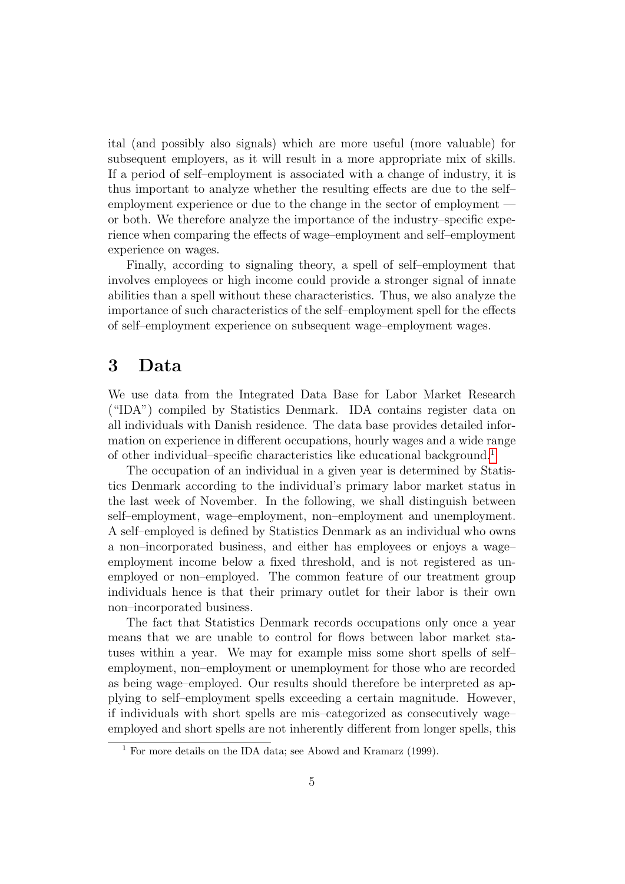ital (and possibly also signals) which are more useful (more valuable) for subsequent employers, as it will result in a more appropriate mix of skills. If a period of self–employment is associated with a change of industry, it is thus important to analyze whether the resulting effects are due to the self– employment experience or due to the change in the sector of employment or both. We therefore analyze the importance of the industry–specific experience when comparing the effects of wage–employment and self–employment experience on wages.

Finally, according to signaling theory, a spell of self–employment that involves employees or high income could provide a stronger signal of innate abilities than a spell without these characteristics. Thus, we also analyze the importance of such characteristics of the self–employment spell for the effects of self–employment experience on subsequent wage–employment wages.

# <span id="page-5-0"></span>3 Data

We use data from the Integrated Data Base for Labor Market Research ("IDA") compiled by Statistics Denmark. IDA contains register data on all individuals with Danish residence. The data base provides detailed information on experience in different occupations, hourly wages and a wide range of other individual–specific characteristics like educational background.[1](#page-5-1)

The occupation of an individual in a given year is determined by Statistics Denmark according to the individual's primary labor market status in the last week of November. In the following, we shall distinguish between self–employment, wage–employment, non–employment and unemployment. A self–employed is defined by Statistics Denmark as an individual who owns a non–incorporated business, and either has employees or enjoys a wage– employment income below a fixed threshold, and is not registered as unemployed or non–employed. The common feature of our treatment group individuals hence is that their primary outlet for their labor is their own non–incorporated business.

The fact that Statistics Denmark records occupations only once a year means that we are unable to control for flows between labor market statuses within a year. We may for example miss some short spells of self– employment, non–employment or unemployment for those who are recorded as being wage–employed. Our results should therefore be interpreted as applying to self–employment spells exceeding a certain magnitude. However, if individuals with short spells are mis–categorized as consecutively wage– employed and short spells are not inherently different from longer spells, this

<span id="page-5-1"></span><sup>1</sup> For more details on the IDA data; see Abowd and Kramarz (1999).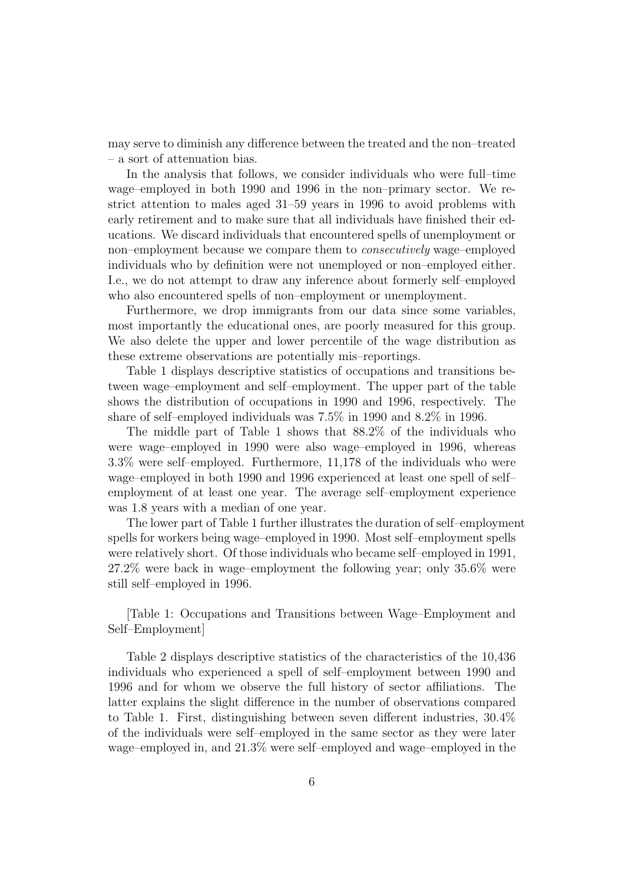may serve to diminish any difference between the treated and the non–treated – a sort of attenuation bias.

In the analysis that follows, we consider individuals who were full–time wage–employed in both 1990 and 1996 in the non–primary sector. We restrict attention to males aged 31–59 years in 1996 to avoid problems with early retirement and to make sure that all individuals have finished their educations. We discard individuals that encountered spells of unemployment or non–employment because we compare them to consecutively wage–employed individuals who by definition were not unemployed or non–employed either. I.e., we do not attempt to draw any inference about formerly self–employed who also encountered spells of non–employment or unemployment.

Furthermore, we drop immigrants from our data since some variables, most importantly the educational ones, are poorly measured for this group. We also delete the upper and lower percentile of the wage distribution as these extreme observations are potentially mis–reportings.

Table 1 displays descriptive statistics of occupations and transitions between wage–employment and self–employment. The upper part of the table shows the distribution of occupations in 1990 and 1996, respectively. The share of self–employed individuals was 7.5% in 1990 and 8.2% in 1996.

The middle part of Table 1 shows that 88.2% of the individuals who were wage–employed in 1990 were also wage–employed in 1996, whereas 3.3% were self–employed. Furthermore, 11,178 of the individuals who were wage–employed in both 1990 and 1996 experienced at least one spell of self– employment of at least one year. The average self–employment experience was 1.8 years with a median of one year.

The lower part of Table 1 further illustrates the duration of self–employment spells for workers being wage–employed in 1990. Most self–employment spells were relatively short. Of those individuals who became self–employed in 1991, 27.2% were back in wage–employment the following year; only 35.6% were still self–employed in 1996.

[Table 1: Occupations and Transitions between Wage–Employment and Self–Employment]

Table 2 displays descriptive statistics of the characteristics of the 10,436 individuals who experienced a spell of self–employment between 1990 and 1996 and for whom we observe the full history of sector affiliations. The latter explains the slight difference in the number of observations compared to Table 1. First, distinguishing between seven different industries, 30.4% of the individuals were self–employed in the same sector as they were later wage–employed in, and 21.3% were self–employed and wage–employed in the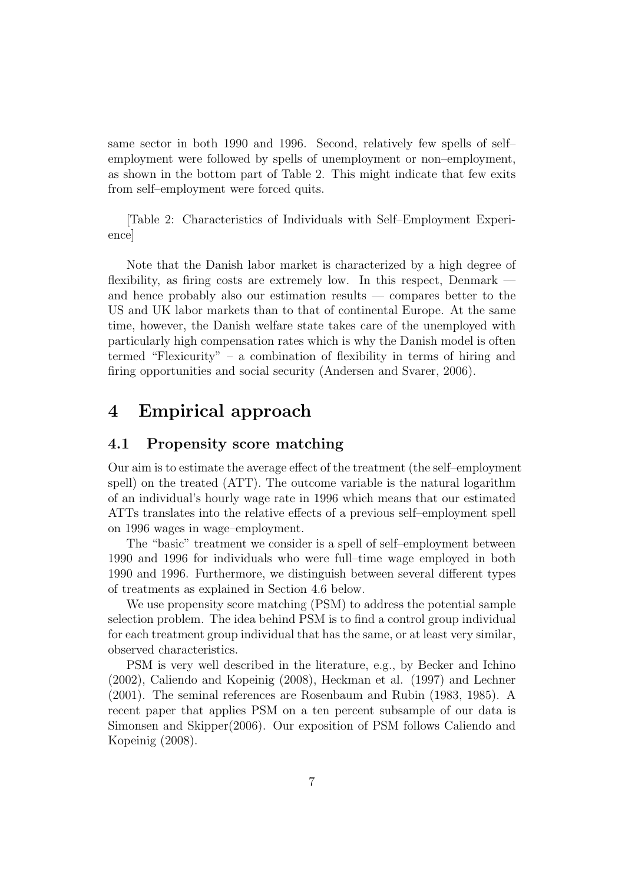same sector in both 1990 and 1996. Second, relatively few spells of self– employment were followed by spells of unemployment or non–employment, as shown in the bottom part of Table 2. This might indicate that few exits from self–employment were forced quits.

[Table 2: Characteristics of Individuals with Self–Employment Experience]

Note that the Danish labor market is characterized by a high degree of flexibility, as firing costs are extremely low. In this respect, Denmark and hence probably also our estimation results — compares better to the US and UK labor markets than to that of continental Europe. At the same time, however, the Danish welfare state takes care of the unemployed with particularly high compensation rates which is why the Danish model is often termed "Flexicurity" – a combination of flexibility in terms of hiring and firing opportunities and social security (Andersen and Svarer, 2006).

# <span id="page-7-0"></span>4 Empirical approach

## 4.1 Propensity score matching

Our aim is to estimate the average effect of the treatment (the self–employment spell) on the treated (ATT). The outcome variable is the natural logarithm of an individual's hourly wage rate in 1996 which means that our estimated ATTs translates into the relative effects of a previous self–employment spell on 1996 wages in wage–employment.

The "basic" treatment we consider is a spell of self–employment between 1990 and 1996 for individuals who were full–time wage employed in both 1990 and 1996. Furthermore, we distinguish between several different types of treatments as explained in Section 4.6 below.

We use propensity score matching (PSM) to address the potential sample selection problem. The idea behind PSM is to find a control group individual for each treatment group individual that has the same, or at least very similar, observed characteristics.

PSM is very well described in the literature, e.g., by Becker and Ichino (2002), Caliendo and Kopeinig (2008), Heckman et al. (1997) and Lechner (2001). The seminal references are Rosenbaum and Rubin (1983, 1985). A recent paper that applies PSM on a ten percent subsample of our data is Simonsen and Skipper(2006). Our exposition of PSM follows Caliendo and Kopeinig (2008).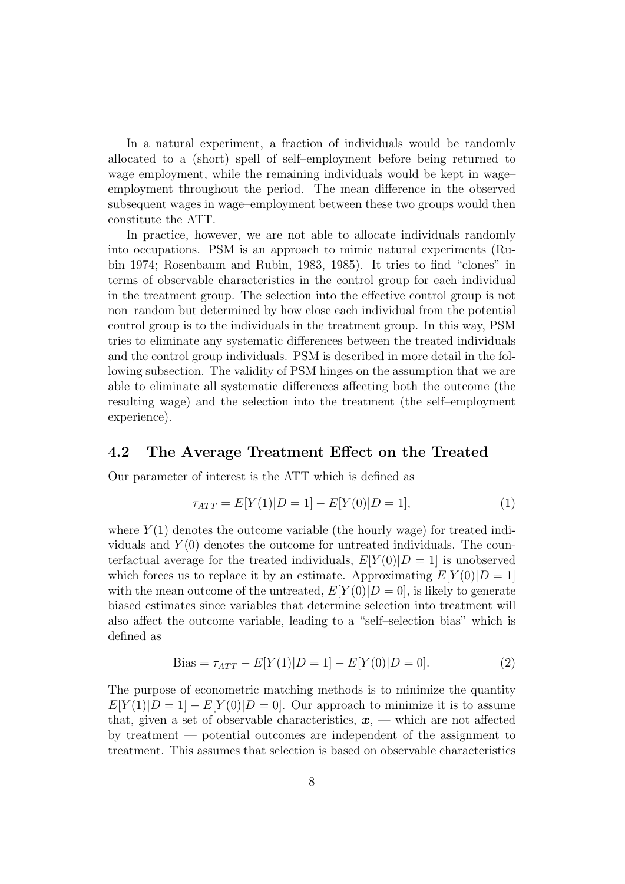In a natural experiment, a fraction of individuals would be randomly allocated to a (short) spell of self–employment before being returned to wage employment, while the remaining individuals would be kept in wage– employment throughout the period. The mean difference in the observed subsequent wages in wage–employment between these two groups would then constitute the ATT.

In practice, however, we are not able to allocate individuals randomly into occupations. PSM is an approach to mimic natural experiments (Rubin 1974; Rosenbaum and Rubin, 1983, 1985). It tries to find "clones" in terms of observable characteristics in the control group for each individual in the treatment group. The selection into the effective control group is not non–random but determined by how close each individual from the potential control group is to the individuals in the treatment group. In this way, PSM tries to eliminate any systematic differences between the treated individuals and the control group individuals. PSM is described in more detail in the following subsection. The validity of PSM hinges on the assumption that we are able to eliminate all systematic differences affecting both the outcome (the resulting wage) and the selection into the treatment (the self–employment experience).

## 4.2 The Average Treatment Effect on the Treated

Our parameter of interest is the ATT which is defined as

$$
\tau_{ATT} = E[Y(1)|D = 1] - E[Y(0)|D = 1], \tag{1}
$$

where  $Y(1)$  denotes the outcome variable (the hourly wage) for treated individuals and  $Y(0)$  denotes the outcome for untreated individuals. The counterfactual average for the treated individuals,  $E[Y(0)|D=1]$  is unobserved which forces us to replace it by an estimate. Approximating  $E[Y(0)|D=1]$ with the mean outcome of the untreated,  $E[Y(0)|D=0]$ , is likely to generate biased estimates since variables that determine selection into treatment will also affect the outcome variable, leading to a "self–selection bias" which is defined as

Bias = 
$$
\tau_{ATT} - E[Y(1)|D = 1] - E[Y(0)|D = 0].
$$
 (2)

The purpose of econometric matching methods is to minimize the quantity  $E[Y(1)|D=1]-E[Y(0)|D=0]$ . Our approach to minimize it is to assume that, given a set of observable characteristics,  $x$ , — which are not affected by treatment — potential outcomes are independent of the assignment to treatment. This assumes that selection is based on observable characteristics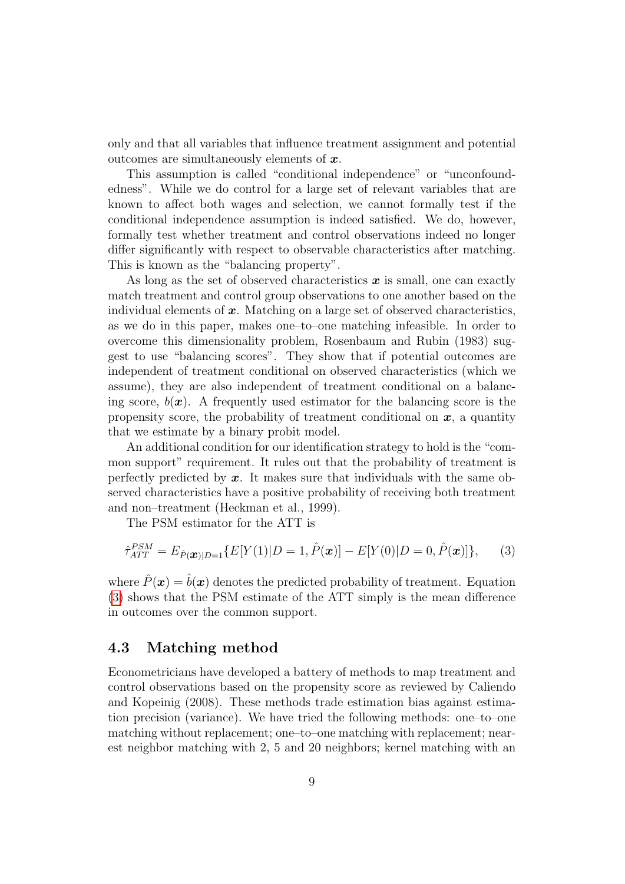only and that all variables that influence treatment assignment and potential outcomes are simultaneously elements of  $x$ .

This assumption is called "conditional independence" or "unconfoundedness". While we do control for a large set of relevant variables that are known to affect both wages and selection, we cannot formally test if the conditional independence assumption is indeed satisfied. We do, however, formally test whether treatment and control observations indeed no longer differ significantly with respect to observable characteristics after matching. This is known as the "balancing property".

As long as the set of observed characteristics  $x$  is small, one can exactly match treatment and control group observations to one another based on the individual elements of  $x$ . Matching on a large set of observed characteristics, as we do in this paper, makes one–to–one matching infeasible. In order to overcome this dimensionality problem, Rosenbaum and Rubin (1983) suggest to use "balancing scores". They show that if potential outcomes are independent of treatment conditional on observed characteristics (which we assume), they are also independent of treatment conditional on a balancing score,  $b(x)$ . A frequently used estimator for the balancing score is the propensity score, the probability of treatment conditional on  $x$ , a quantity that we estimate by a binary probit model.

An additional condition for our identification strategy to hold is the "common support" requirement. It rules out that the probability of treatment is perfectly predicted by  $x$ . It makes sure that individuals with the same observed characteristics have a positive probability of receiving both treatment and non–treatment (Heckman et al., 1999).

The PSM estimator for the ATT is

<span id="page-9-0"></span>
$$
\hat{\tau}_{ATT}^{PSM} = E_{\hat{P}(\mathbf{x})|D=1} \{ E[Y(1)|D=1, \hat{P}(\mathbf{x})] - E[Y(0)|D=0, \hat{P}(\mathbf{x})] \},\tag{3}
$$

where  $\hat{P}(\boldsymbol{x}) = \hat{b}(\boldsymbol{x})$  denotes the predicted probability of treatment. Equation [\(3\)](#page-9-0) shows that the PSM estimate of the ATT simply is the mean difference in outcomes over the common support.

## 4.3 Matching method

Econometricians have developed a battery of methods to map treatment and control observations based on the propensity score as reviewed by Caliendo and Kopeinig (2008). These methods trade estimation bias against estimation precision (variance). We have tried the following methods: one–to–one matching without replacement; one–to–one matching with replacement; nearest neighbor matching with 2, 5 and 20 neighbors; kernel matching with an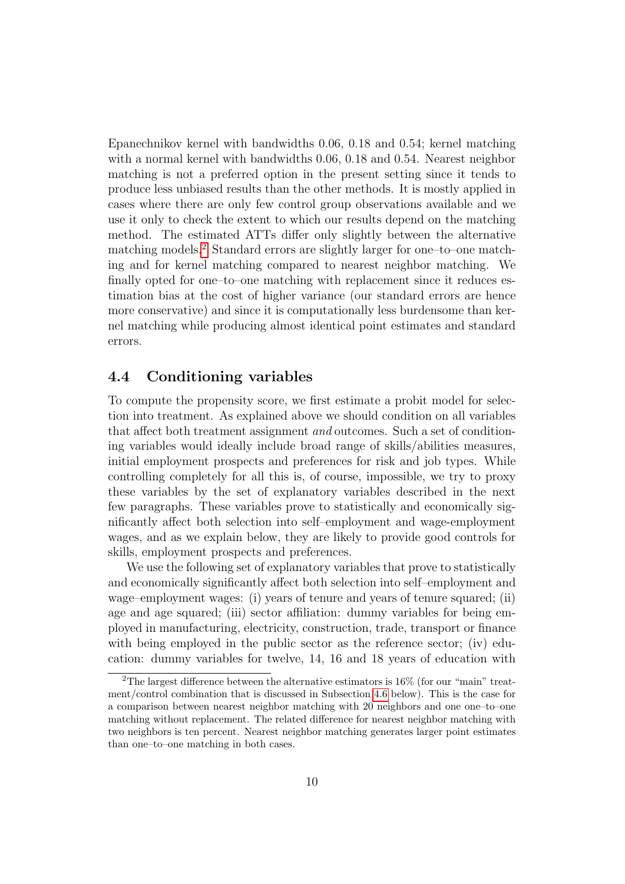Epanechnikov kernel with bandwidths 0.06, 0.18 and 0.54; kernel matching with a normal kernel with bandwidths 0.06, 0.18 and 0.54. Nearest neighbor matching is not a preferred option in the present setting since it tends to produce less unbiased results than the other methods. It is mostly applied in cases where there are only few control group observations available and we use it only to check the extent to which our results depend on the matching method. The estimated ATTs differ only slightly between the alternative matching models.[2](#page-10-0) Standard errors are slightly larger for one–to–one matching and for kernel matching compared to nearest neighbor matching. We finally opted for one–to–one matching with replacement since it reduces estimation bias at the cost of higher variance (our standard errors are hence more conservative) and since it is computationally less burdensome than kernel matching while producing almost identical point estimates and standard errors.

## 4.4 Conditioning variables

To compute the propensity score, we first estimate a probit model for selection into treatment. As explained above we should condition on all variables that affect both treatment assignment and outcomes. Such a set of conditioning variables would ideally include broad range of skills/abilities measures, initial employment prospects and preferences for risk and job types. While controlling completely for all this is, of course, impossible, we try to proxy these variables by the set of explanatory variables described in the next few paragraphs. These variables prove to statistically and economically significantly affect both selection into self–employment and wage-employment wages, and as we explain below, they are likely to provide good controls for skills, employment prospects and preferences.

We use the following set of explanatory variables that prove to statistically and economically significantly affect both selection into self–employment and wage–employment wages: (i) years of tenure and years of tenure squared; (ii) age and age squared; (iii) sector affiliation: dummy variables for being employed in manufacturing, electricity, construction, trade, transport or finance with being employed in the public sector as the reference sector; (iv) education: dummy variables for twelve, 14, 16 and 18 years of education with

<span id="page-10-0"></span><sup>&</sup>lt;sup>2</sup>The largest difference between the alternative estimators is  $16\%$  (for our "main" treatment/control combination that is discussed in Subsection [4.6](#page-13-0) below). This is the case for a comparison between nearest neighbor matching with 20 neighbors and one one–to–one matching without replacement. The related difference for nearest neighbor matching with two neighbors is ten percent. Nearest neighbor matching generates larger point estimates than one–to–one matching in both cases.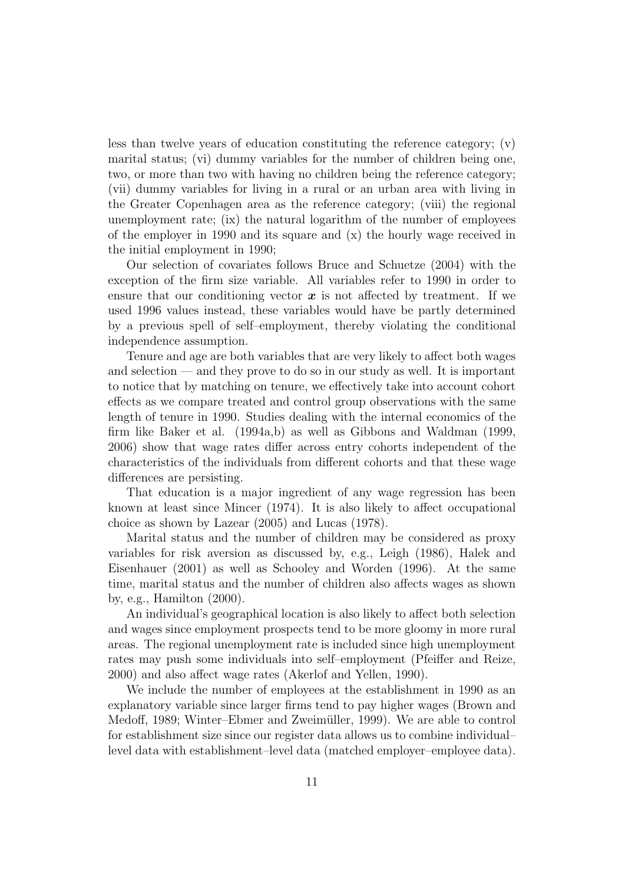less than twelve years of education constituting the reference category;  $(v)$ marital status; (vi) dummy variables for the number of children being one, two, or more than two with having no children being the reference category; (vii) dummy variables for living in a rural or an urban area with living in the Greater Copenhagen area as the reference category; (viii) the regional unemployment rate; (ix) the natural logarithm of the number of employees of the employer in 1990 and its square and (x) the hourly wage received in the initial employment in 1990;

Our selection of covariates follows Bruce and Schuetze (2004) with the exception of the firm size variable. All variables refer to 1990 in order to ensure that our conditioning vector  $\boldsymbol{x}$  is not affected by treatment. If we used 1996 values instead, these variables would have be partly determined by a previous spell of self–employment, thereby violating the conditional independence assumption.

Tenure and age are both variables that are very likely to affect both wages and selection — and they prove to do so in our study as well. It is important to notice that by matching on tenure, we effectively take into account cohort effects as we compare treated and control group observations with the same length of tenure in 1990. Studies dealing with the internal economics of the firm like Baker et al. (1994a,b) as well as Gibbons and Waldman (1999, 2006) show that wage rates differ across entry cohorts independent of the characteristics of the individuals from different cohorts and that these wage differences are persisting.

That education is a major ingredient of any wage regression has been known at least since Mincer (1974). It is also likely to affect occupational choice as shown by Lazear (2005) and Lucas (1978).

Marital status and the number of children may be considered as proxy variables for risk aversion as discussed by, e.g., Leigh (1986), Halek and Eisenhauer (2001) as well as Schooley and Worden (1996). At the same time, marital status and the number of children also affects wages as shown by, e.g., Hamilton (2000).

An individual's geographical location is also likely to affect both selection and wages since employment prospects tend to be more gloomy in more rural areas. The regional unemployment rate is included since high unemployment rates may push some individuals into self–employment (Pfeiffer and Reize, 2000) and also affect wage rates (Akerlof and Yellen, 1990).

We include the number of employees at the establishment in 1990 as an explanatory variable since larger firms tend to pay higher wages (Brown and Medoff, 1989; Winter–Ebmer and Zweimüller, 1999). We are able to control for establishment size since our register data allows us to combine individual– level data with establishment–level data (matched employer–employee data).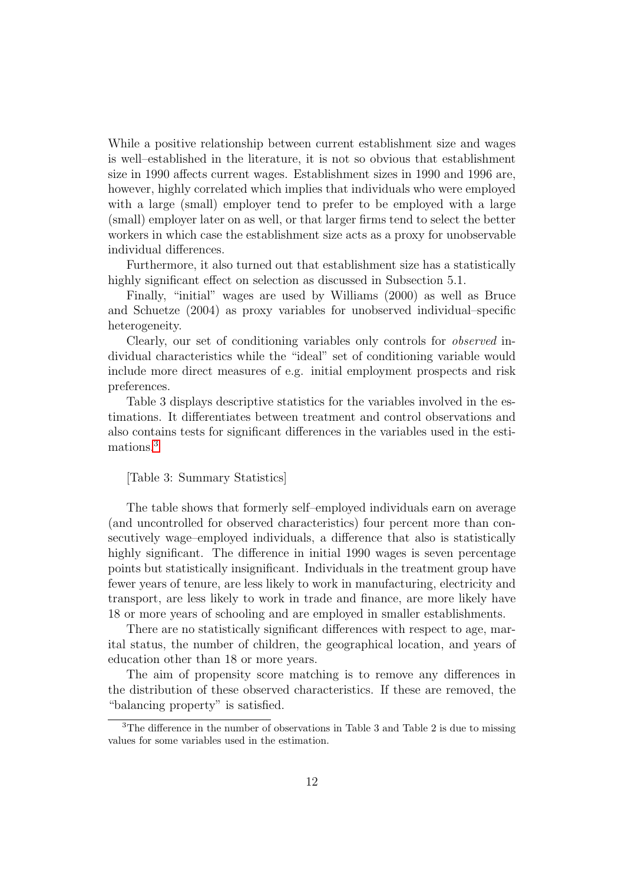While a positive relationship between current establishment size and wages is well–established in the literature, it is not so obvious that establishment size in 1990 affects current wages. Establishment sizes in 1990 and 1996 are, however, highly correlated which implies that individuals who were employed with a large (small) employer tend to prefer to be employed with a large (small) employer later on as well, or that larger firms tend to select the better workers in which case the establishment size acts as a proxy for unobservable individual differences.

Furthermore, it also turned out that establishment size has a statistically highly significant effect on selection as discussed in Subsection  $5.1$ .

Finally, "initial" wages are used by Williams (2000) as well as Bruce and Schuetze (2004) as proxy variables for unobserved individual–specific heterogeneity.

Clearly, our set of conditioning variables only controls for observed individual characteristics while the "ideal" set of conditioning variable would include more direct measures of e.g. initial employment prospects and risk preferences.

Table 3 displays descriptive statistics for the variables involved in the estimations. It differentiates between treatment and control observations and also contains tests for significant differences in the variables used in the estimations.[3](#page-12-0)

#### [Table 3: Summary Statistics]

The table shows that formerly self–employed individuals earn on average (and uncontrolled for observed characteristics) four percent more than consecutively wage–employed individuals, a difference that also is statistically highly significant. The difference in initial 1990 wages is seven percentage points but statistically insignificant. Individuals in the treatment group have fewer years of tenure, are less likely to work in manufacturing, electricity and transport, are less likely to work in trade and finance, are more likely have 18 or more years of schooling and are employed in smaller establishments.

There are no statistically significant differences with respect to age, marital status, the number of children, the geographical location, and years of education other than 18 or more years.

The aim of propensity score matching is to remove any differences in the distribution of these observed characteristics. If these are removed, the "balancing property" is satisfied.

<span id="page-12-0"></span><sup>3</sup>The difference in the number of observations in Table 3 and Table 2 is due to missing values for some variables used in the estimation.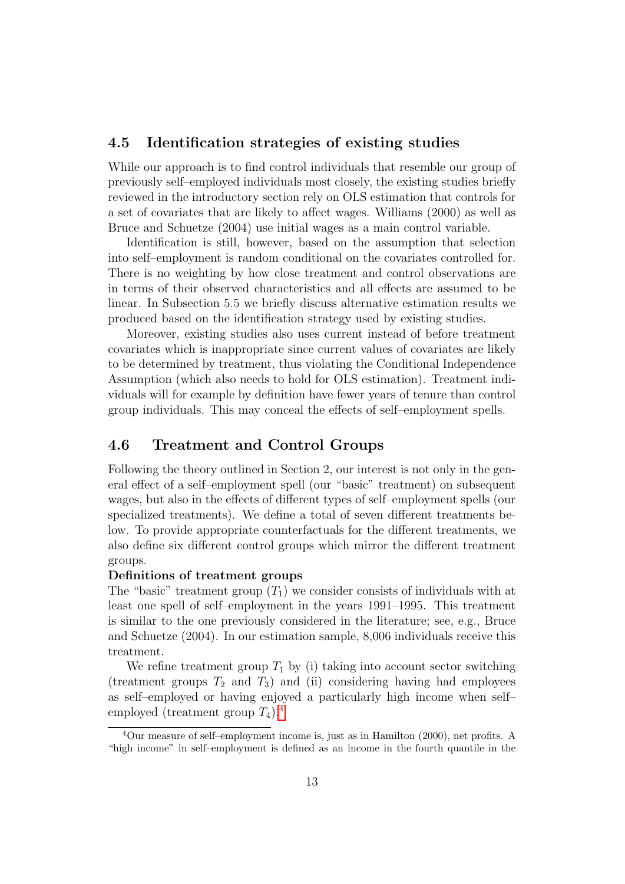## 4.5 Identification strategies of existing studies

While our approach is to find control individuals that resemble our group of previously self–employed individuals most closely, the existing studies briefly reviewed in the introductory section rely on OLS estimation that controls for a set of covariates that are likely to affect wages. Williams (2000) as well as Bruce and Schuetze (2004) use initial wages as a main control variable.

Identification is still, however, based on the assumption that selection into self–employment is random conditional on the covariates controlled for. There is no weighting by how close treatment and control observations are in terms of their observed characteristics and all effects are assumed to be linear. In Subsection 5.5 we briefly discuss alternative estimation results we produced based on the identification strategy used by existing studies.

Moreover, existing studies also uses current instead of before treatment covariates which is inappropriate since current values of covariates are likely to be determined by treatment, thus violating the Conditional Independence Assumption (which also needs to hold for OLS estimation). Treatment individuals will for example by definition have fewer years of tenure than control group individuals. This may conceal the effects of self–employment spells.

## <span id="page-13-0"></span>4.6 Treatment and Control Groups

Following the theory outlined in Section 2, our interest is not only in the general effect of a self–employment spell (our "basic" treatment) on subsequent wages, but also in the effects of different types of self–employment spells (our specialized treatments). We define a total of seven different treatments below. To provide appropriate counterfactuals for the different treatments, we also define six different control groups which mirror the different treatment groups.

#### Definitions of treatment groups

The "basic" treatment group  $(T_1)$  we consider consists of individuals with at least one spell of self–employment in the years 1991–1995. This treatment is similar to the one previously considered in the literature; see, e.g., Bruce and Schuetze (2004). In our estimation sample, 8,006 individuals receive this treatment.

We refine treatment group  $T_1$  by (i) taking into account sector switching (treatment groups  $T_2$  and  $T_3$ ) and (ii) considering having had employees as self–employed or having enjoyed a particularly high income when self– employed (treatment group  $T_4$  $T_4$ ).<sup>4</sup>

<span id="page-13-1"></span><sup>4</sup>Our measure of self–employment income is, just as in Hamilton (2000), net profits. A "high income" in self–employment is defined as an income in the fourth quantile in the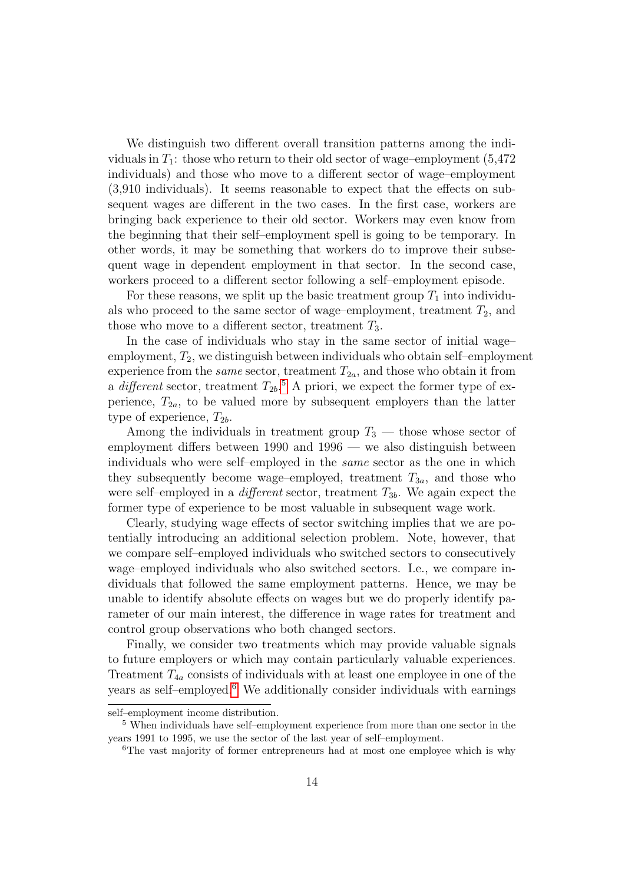We distinguish two different overall transition patterns among the individuals in  $T_1$ : those who return to their old sector of wage–employment (5,472) individuals) and those who move to a different sector of wage–employment (3,910 individuals). It seems reasonable to expect that the effects on subsequent wages are different in the two cases. In the first case, workers are bringing back experience to their old sector. Workers may even know from the beginning that their self–employment spell is going to be temporary. In other words, it may be something that workers do to improve their subsequent wage in dependent employment in that sector. In the second case, workers proceed to a different sector following a self–employment episode.

For these reasons, we split up the basic treatment group  $T_1$  into individuals who proceed to the same sector of wage–employment, treatment  $T_2$ , and those who move to a different sector, treatment  $T_3$ .

In the case of individuals who stay in the same sector of initial wage– employment,  $T_2$ , we distinguish between individuals who obtain self–employment experience from the *same* sector, treatment  $T_{2a}$ , and those who obtain it from a *different* sector, treatment  $T_{2b}$ <sup>[5](#page-14-0)</sup> A priori, we expect the former type of experience,  $T_{2a}$ , to be valued more by subsequent employers than the latter type of experience,  $T_{2b}$ .

Among the individuals in treatment group  $T_3$  — those whose sector of employment differs between 1990 and 1996 — we also distinguish between individuals who were self–employed in the same sector as the one in which they subsequently become wage–employed, treatment  $T_{3a}$ , and those who were self-employed in a *different* sector, treatment  $T_{3b}$ . We again expect the former type of experience to be most valuable in subsequent wage work.

Clearly, studying wage effects of sector switching implies that we are potentially introducing an additional selection problem. Note, however, that we compare self–employed individuals who switched sectors to consecutively wage–employed individuals who also switched sectors. I.e., we compare individuals that followed the same employment patterns. Hence, we may be unable to identify absolute effects on wages but we do properly identify parameter of our main interest, the difference in wage rates for treatment and control group observations who both changed sectors.

Finally, we consider two treatments which may provide valuable signals to future employers or which may contain particularly valuable experiences. Treatment  $T_{4a}$  consists of individuals with at least one employee in one of the years as self–employed.<sup>[6](#page-14-1)</sup> We additionally consider individuals with earnings

self–employment income distribution.

<span id="page-14-0"></span><sup>5</sup> When individuals have self–employment experience from more than one sector in the years 1991 to 1995, we use the sector of the last year of self–employment.

<span id="page-14-1"></span><sup>&</sup>lt;sup>6</sup>The vast majority of former entrepreneurs had at most one employee which is why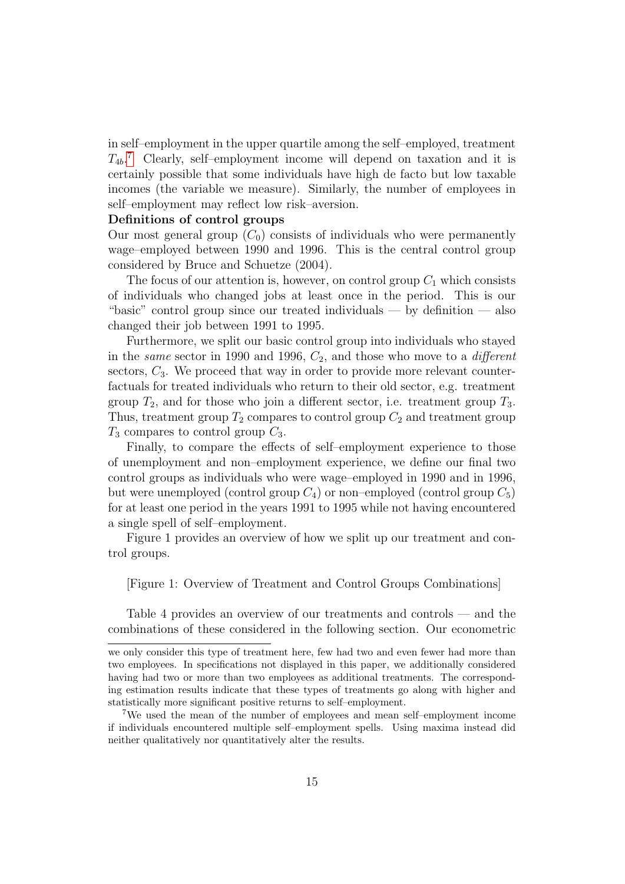in self–employment in the upper quartile among the self–employed, treatment  $T_{4b}$ <sup>[7](#page-15-0)</sup> Clearly, self-employment income will depend on taxation and it is certainly possible that some individuals have high de facto but low taxable incomes (the variable we measure). Similarly, the number of employees in self–employment may reflect low risk–aversion.

#### Definitions of control groups

Our most general group  $(C_0)$  consists of individuals who were permanently wage–employed between 1990 and 1996. This is the central control group considered by Bruce and Schuetze (2004).

The focus of our attention is, however, on control group  $C_1$  which consists of individuals who changed jobs at least once in the period. This is our "basic" control group since our treated individuals — by definition — also changed their job between 1991 to 1995.

Furthermore, we split our basic control group into individuals who stayed in the *same* sector in 1990 and 1996,  $C_2$ , and those who move to a *different* sectors,  $C_3$ . We proceed that way in order to provide more relevant counterfactuals for treated individuals who return to their old sector, e.g. treatment group  $T_2$ , and for those who join a different sector, i.e. treatment group  $T_3$ . Thus, treatment group  $T_2$  compares to control group  $C_2$  and treatment group  $T_3$  compares to control group  $C_3$ .

Finally, to compare the effects of self–employment experience to those of unemployment and non–employment experience, we define our final two control groups as individuals who were wage–employed in 1990 and in 1996, but were unemployed (control group  $C_4$ ) or non–employed (control group  $C_5$ ) for at least one period in the years 1991 to 1995 while not having encountered a single spell of self–employment.

Figure 1 provides an overview of how we split up our treatment and control groups.

[Figure 1: Overview of Treatment and Control Groups Combinations]

Table 4 provides an overview of our treatments and controls — and the combinations of these considered in the following section. Our econometric

we only consider this type of treatment here, few had two and even fewer had more than two employees. In specifications not displayed in this paper, we additionally considered having had two or more than two employees as additional treatments. The corresponding estimation results indicate that these types of treatments go along with higher and statistically more significant positive returns to self–employment.

<span id="page-15-0"></span><sup>7</sup>We used the mean of the number of employees and mean self–employment income if individuals encountered multiple self–employment spells. Using maxima instead did neither qualitatively nor quantitatively alter the results.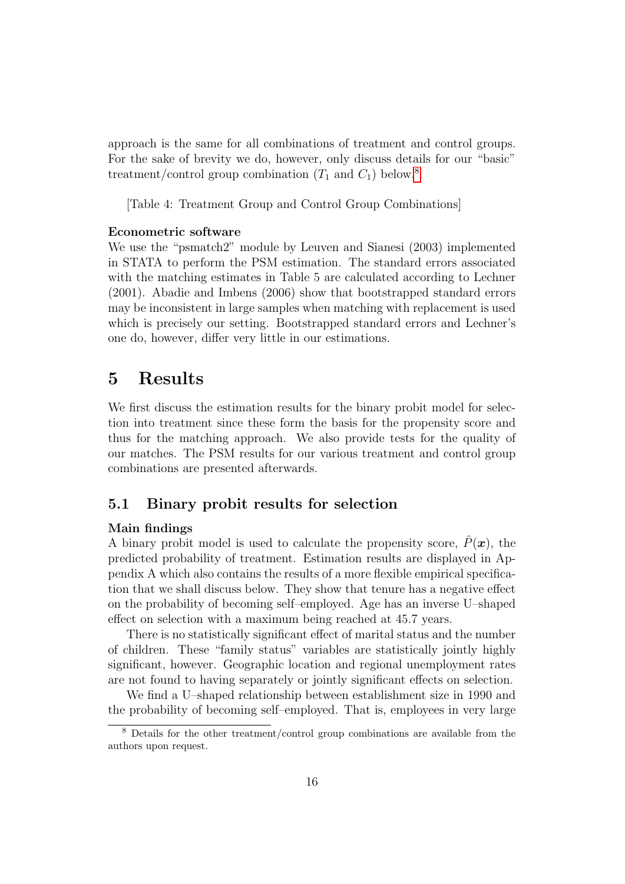approach is the same for all combinations of treatment and control groups. For the sake of brevity we do, however, only discuss details for our "basic" treatment/control group combination  $(T_1 \text{ and } C_1)$  below.<sup>[8](#page-16-0)</sup>

[Table 4: Treatment Group and Control Group Combinations]

#### Econometric software

We use the "psmatch2" module by Leuven and Sianesi (2003) implemented in STATA to perform the PSM estimation. The standard errors associated with the matching estimates in Table 5 are calculated according to Lechner (2001). Abadie and Imbens (2006) show that bootstrapped standard errors may be inconsistent in large samples when matching with replacement is used which is precisely our setting. Bootstrapped standard errors and Lechner's one do, however, differ very little in our estimations.

## 5 Results

We first discuss the estimation results for the binary probit model for selection into treatment since these form the basis for the propensity score and thus for the matching approach. We also provide tests for the quality of our matches. The PSM results for our various treatment and control group combinations are presented afterwards.

## 5.1 Binary probit results for selection

#### Main findings

A binary probit model is used to calculate the propensity score,  $\hat{P}(\boldsymbol{x})$ , the predicted probability of treatment. Estimation results are displayed in Appendix A which also contains the results of a more flexible empirical specification that we shall discuss below. They show that tenure has a negative effect on the probability of becoming self–employed. Age has an inverse U–shaped effect on selection with a maximum being reached at 45.7 years.

There is no statistically significant effect of marital status and the number of children. These "family status" variables are statistically jointly highly significant, however. Geographic location and regional unemployment rates are not found to having separately or jointly significant effects on selection.

We find a U–shaped relationship between establishment size in 1990 and the probability of becoming self–employed. That is, employees in very large

<span id="page-16-0"></span><sup>8</sup> Details for the other treatment/control group combinations are available from the authors upon request.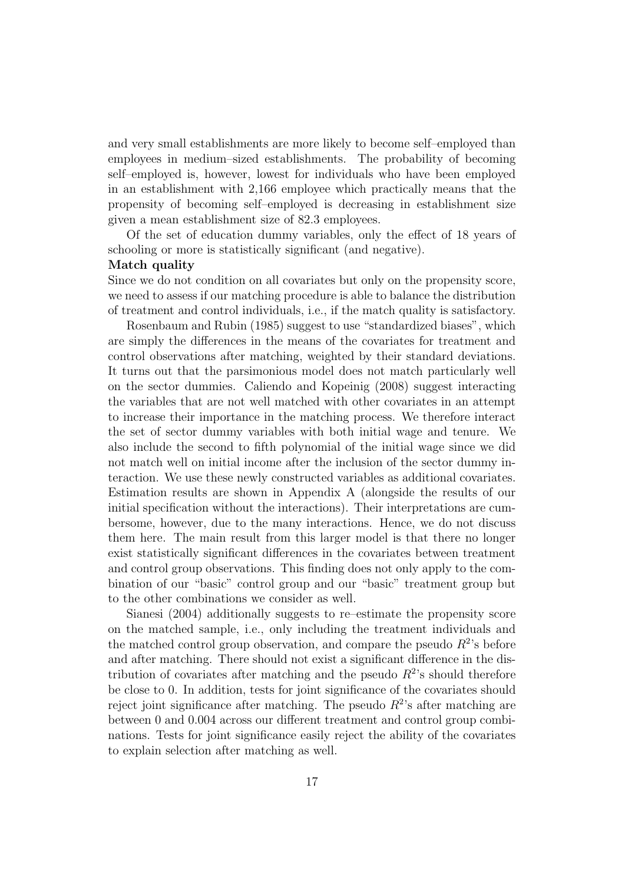and very small establishments are more likely to become self–employed than employees in medium–sized establishments. The probability of becoming self–employed is, however, lowest for individuals who have been employed in an establishment with 2,166 employee which practically means that the propensity of becoming self–employed is decreasing in establishment size given a mean establishment size of 82.3 employees.

Of the set of education dummy variables, only the effect of 18 years of schooling or more is statistically significant (and negative).

#### Match quality

Since we do not condition on all covariates but only on the propensity score, we need to assess if our matching procedure is able to balance the distribution of treatment and control individuals, i.e., if the match quality is satisfactory.

Rosenbaum and Rubin (1985) suggest to use "standardized biases", which are simply the differences in the means of the covariates for treatment and control observations after matching, weighted by their standard deviations. It turns out that the parsimonious model does not match particularly well on the sector dummies. Caliendo and Kopeinig (2008) suggest interacting the variables that are not well matched with other covariates in an attempt to increase their importance in the matching process. We therefore interact the set of sector dummy variables with both initial wage and tenure. We also include the second to fifth polynomial of the initial wage since we did not match well on initial income after the inclusion of the sector dummy interaction. We use these newly constructed variables as additional covariates. Estimation results are shown in Appendix A (alongside the results of our initial specification without the interactions). Their interpretations are cumbersome, however, due to the many interactions. Hence, we do not discuss them here. The main result from this larger model is that there no longer exist statistically significant differences in the covariates between treatment and control group observations. This finding does not only apply to the combination of our "basic" control group and our "basic" treatment group but to the other combinations we consider as well.

Sianesi (2004) additionally suggests to re–estimate the propensity score on the matched sample, i.e., only including the treatment individuals and the matched control group observation, and compare the pseudo  $R^2$ 's before and after matching. There should not exist a significant difference in the distribution of covariates after matching and the pseudo  $R^2$ 's should therefore be close to 0. In addition, tests for joint significance of the covariates should reject joint significance after matching. The pseudo  $R^2$ 's after matching are between 0 and 0.004 across our different treatment and control group combinations. Tests for joint significance easily reject the ability of the covariates to explain selection after matching as well.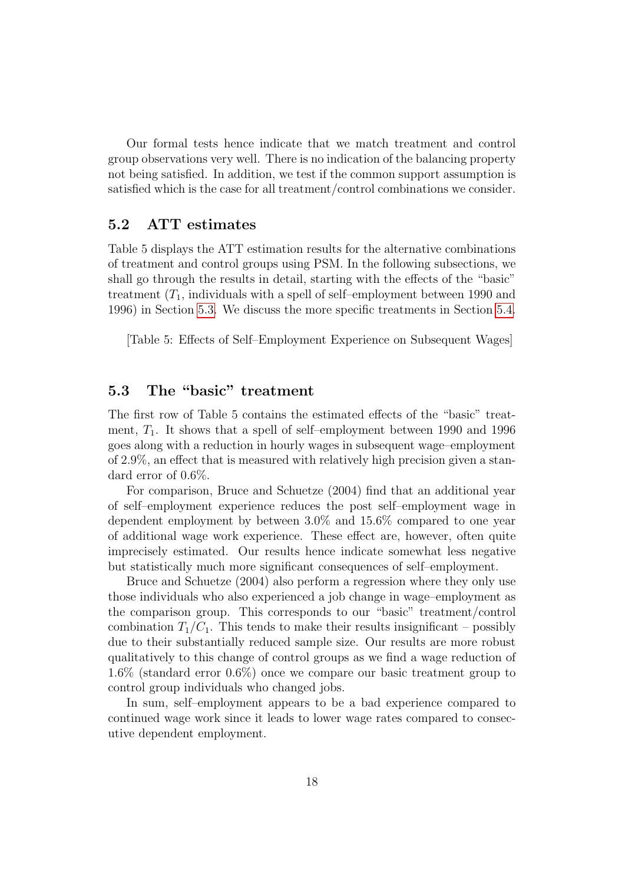Our formal tests hence indicate that we match treatment and control group observations very well. There is no indication of the balancing property not being satisfied. In addition, we test if the common support assumption is satisfied which is the case for all treatment/control combinations we consider.

## 5.2 ATT estimates

Table 5 displays the ATT estimation results for the alternative combinations of treatment and control groups using PSM. In the following subsections, we shall go through the results in detail, starting with the effects of the "basic" treatment  $(T_1,$  individuals with a spell of self-employment between 1990 and 1996) in Section [5.3.](#page-18-0) We discuss the more specific treatments in Section [5.4.](#page-19-0)

[Table 5: Effects of Self–Employment Experience on Subsequent Wages]

## <span id="page-18-0"></span>5.3 The "basic" treatment

The first row of Table 5 contains the estimated effects of the "basic" treatment,  $T_1$ . It shows that a spell of self-employment between 1990 and 1996 goes along with a reduction in hourly wages in subsequent wage–employment of 2.9%, an effect that is measured with relatively high precision given a standard error of 0.6%.

For comparison, Bruce and Schuetze (2004) find that an additional year of self–employment experience reduces the post self–employment wage in dependent employment by between 3.0% and 15.6% compared to one year of additional wage work experience. These effect are, however, often quite imprecisely estimated. Our results hence indicate somewhat less negative but statistically much more significant consequences of self–employment.

Bruce and Schuetze (2004) also perform a regression where they only use those individuals who also experienced a job change in wage–employment as the comparison group. This corresponds to our "basic" treatment/control combination  $T_1/C_1$ . This tends to make their results insignificant – possibly due to their substantially reduced sample size. Our results are more robust qualitatively to this change of control groups as we find a wage reduction of 1.6% (standard error 0.6%) once we compare our basic treatment group to control group individuals who changed jobs.

In sum, self–employment appears to be a bad experience compared to continued wage work since it leads to lower wage rates compared to consecutive dependent employment.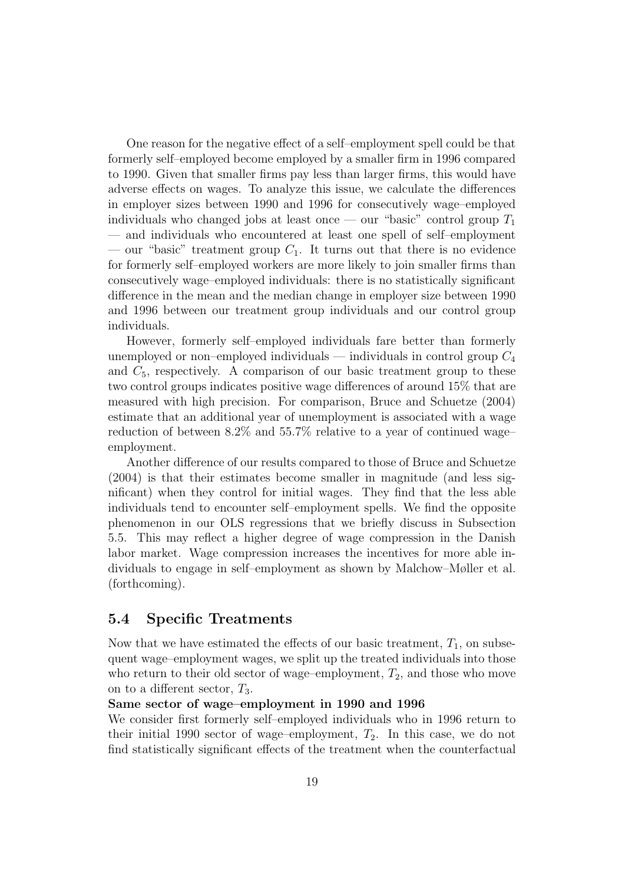One reason for the negative effect of a self–employment spell could be that formerly self–employed become employed by a smaller firm in 1996 compared to 1990. Given that smaller firms pay less than larger firms, this would have adverse effects on wages. To analyze this issue, we calculate the differences in employer sizes between 1990 and 1996 for consecutively wage–employed individuals who changed jobs at least once — our "basic" control group  $T_1$ — and individuals who encountered at least one spell of self–employment — our "basic" treatment group  $C_1$ . It turns out that there is no evidence for formerly self–employed workers are more likely to join smaller firms than consecutively wage–employed individuals: there is no statistically significant difference in the mean and the median change in employer size between 1990 and 1996 between our treatment group individuals and our control group individuals.

However, formerly self–employed individuals fare better than formerly unemployed or non–employed individuals — individuals in control group  $C_4$ and  $C_5$ , respectively. A comparison of our basic treatment group to these two control groups indicates positive wage differences of around 15% that are measured with high precision. For comparison, Bruce and Schuetze (2004) estimate that an additional year of unemployment is associated with a wage reduction of between 8.2% and 55.7% relative to a year of continued wage– employment.

Another difference of our results compared to those of Bruce and Schuetze (2004) is that their estimates become smaller in magnitude (and less significant) when they control for initial wages. They find that the less able individuals tend to encounter self–employment spells. We find the opposite phenomenon in our OLS regressions that we briefly discuss in Subsection 5.5. This may reflect a higher degree of wage compression in the Danish labor market. Wage compression increases the incentives for more able individuals to engage in self–employment as shown by Malchow–Møller et al. (forthcoming).

## <span id="page-19-0"></span>5.4 Specific Treatments

Now that we have estimated the effects of our basic treatment,  $T_1$ , on subsequent wage–employment wages, we split up the treated individuals into those who return to their old sector of wage–employment,  $T_2$ , and those who move on to a different sector,  $T_3$ .

#### Same sector of wage–employment in 1990 and 1996

We consider first formerly self–employed individuals who in 1996 return to their initial 1990 sector of wage–employment,  $T_2$ . In this case, we do not find statistically significant effects of the treatment when the counterfactual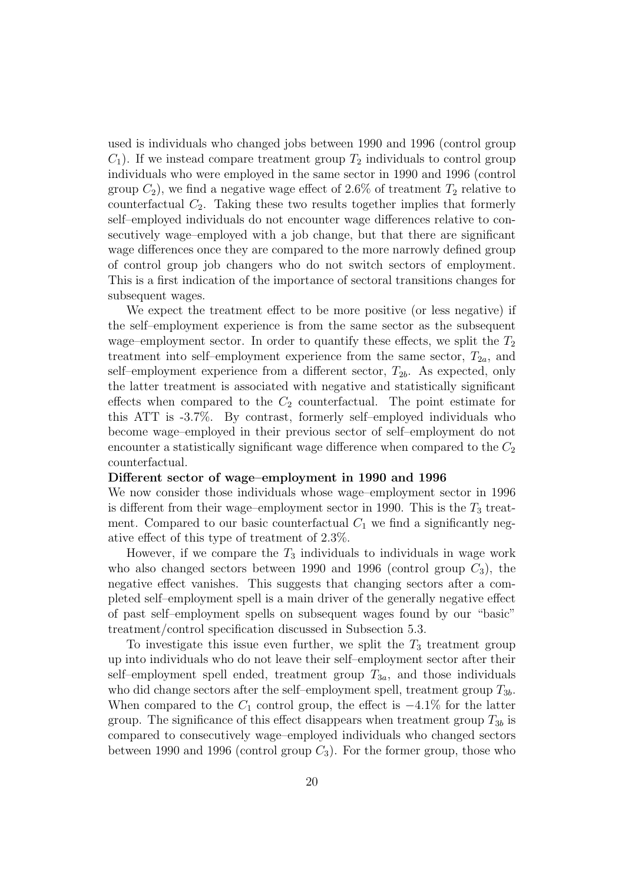used is individuals who changed jobs between 1990 and 1996 (control group  $C_1$ ). If we instead compare treatment group  $T_2$  individuals to control group individuals who were employed in the same sector in 1990 and 1996 (control group  $C_2$ , we find a negative wage effect of 2.6% of treatment  $T_2$  relative to counterfactual  $C_2$ . Taking these two results together implies that formerly self–employed individuals do not encounter wage differences relative to consecutively wage–employed with a job change, but that there are significant wage differences once they are compared to the more narrowly defined group of control group job changers who do not switch sectors of employment. This is a first indication of the importance of sectoral transitions changes for subsequent wages.

We expect the treatment effect to be more positive (or less negative) if the self–employment experience is from the same sector as the subsequent wage–employment sector. In order to quantify these effects, we split the  $T_2$ treatment into self-employment experience from the same sector,  $T_{2a}$ , and self–employment experience from a different sector,  $T_{2b}$ . As expected, only the latter treatment is associated with negative and statistically significant effects when compared to the  $C_2$  counterfactual. The point estimate for this ATT is -3.7%. By contrast, formerly self–employed individuals who become wage–employed in their previous sector of self–employment do not encounter a statistically significant wage difference when compared to the  $C_2$ counterfactual.

#### Different sector of wage–employment in 1990 and 1996

We now consider those individuals whose wage–employment sector in 1996 is different from their wage–employment sector in 1990. This is the  $T_3$  treatment. Compared to our basic counterfactual  $C_1$  we find a significantly negative effect of this type of treatment of 2.3%.

However, if we compare the  $T_3$  individuals to individuals in wage work who also changed sectors between 1990 and 1996 (control group  $C_3$ ), the negative effect vanishes. This suggests that changing sectors after a completed self–employment spell is a main driver of the generally negative effect of past self–employment spells on subsequent wages found by our "basic" treatment/control specification discussed in Subsection 5.3.

To investigate this issue even further, we split the  $T_3$  treatment group up into individuals who do not leave their self–employment sector after their self-employment spell ended, treatment group  $T_{3a}$ , and those individuals who did change sectors after the self–employment spell, treatment group  $T_{3b}$ . When compared to the  $C_1$  control group, the effect is  $-4.1\%$  for the latter group. The significance of this effect disappears when treatment group  $T_{3b}$  is compared to consecutively wage–employed individuals who changed sectors between 1990 and 1996 (control group  $C_3$ ). For the former group, those who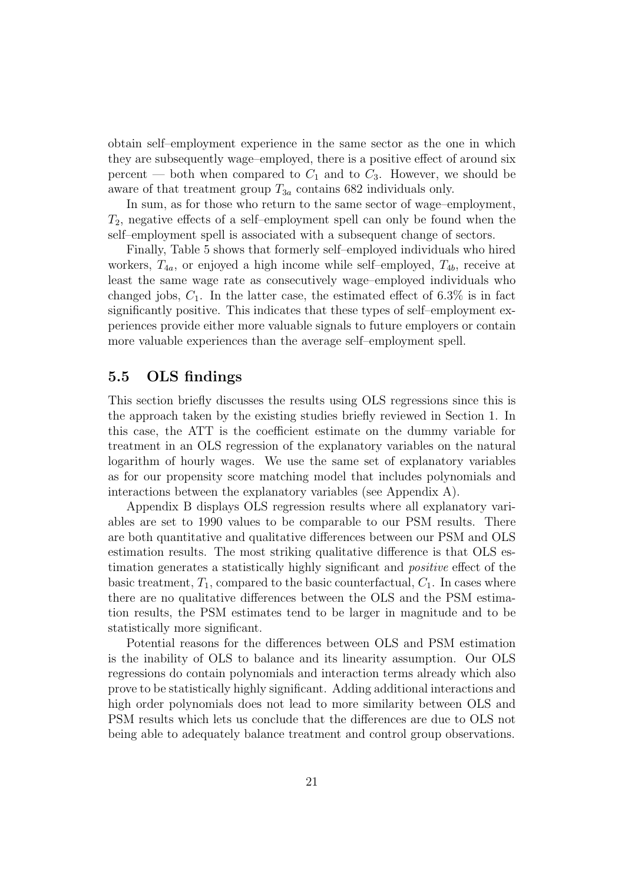obtain self–employment experience in the same sector as the one in which they are subsequently wage–employed, there is a positive effect of around six percent — both when compared to  $C_1$  and to  $C_3$ . However, we should be aware of that treatment group  $T_{3a}$  contains 682 individuals only.

In sum, as for those who return to the same sector of wage–employment,  $T_2$ , negative effects of a self-employment spell can only be found when the self–employment spell is associated with a subsequent change of sectors.

Finally, Table 5 shows that formerly self–employed individuals who hired workers,  $T_{4a}$ , or enjoyed a high income while self-employed,  $T_{4b}$ , receive at least the same wage rate as consecutively wage–employed individuals who changed jobs,  $C_1$ . In the latter case, the estimated effect of 6.3% is in fact significantly positive. This indicates that these types of self–employment experiences provide either more valuable signals to future employers or contain more valuable experiences than the average self–employment spell.

## 5.5 OLS findings

This section briefly discusses the results using OLS regressions since this is the approach taken by the existing studies briefly reviewed in Section 1. In this case, the ATT is the coefficient estimate on the dummy variable for treatment in an OLS regression of the explanatory variables on the natural logarithm of hourly wages. We use the same set of explanatory variables as for our propensity score matching model that includes polynomials and interactions between the explanatory variables (see Appendix A).

Appendix B displays OLS regression results where all explanatory variables are set to 1990 values to be comparable to our PSM results. There are both quantitative and qualitative differences between our PSM and OLS estimation results. The most striking qualitative difference is that OLS estimation generates a statistically highly significant and positive effect of the basic treatment,  $T_1$ , compared to the basic counterfactual,  $C_1$ . In cases where there are no qualitative differences between the OLS and the PSM estimation results, the PSM estimates tend to be larger in magnitude and to be statistically more significant.

Potential reasons for the differences between OLS and PSM estimation is the inability of OLS to balance and its linearity assumption. Our OLS regressions do contain polynomials and interaction terms already which also prove to be statistically highly significant. Adding additional interactions and high order polynomials does not lead to more similarity between OLS and PSM results which lets us conclude that the differences are due to OLS not being able to adequately balance treatment and control group observations.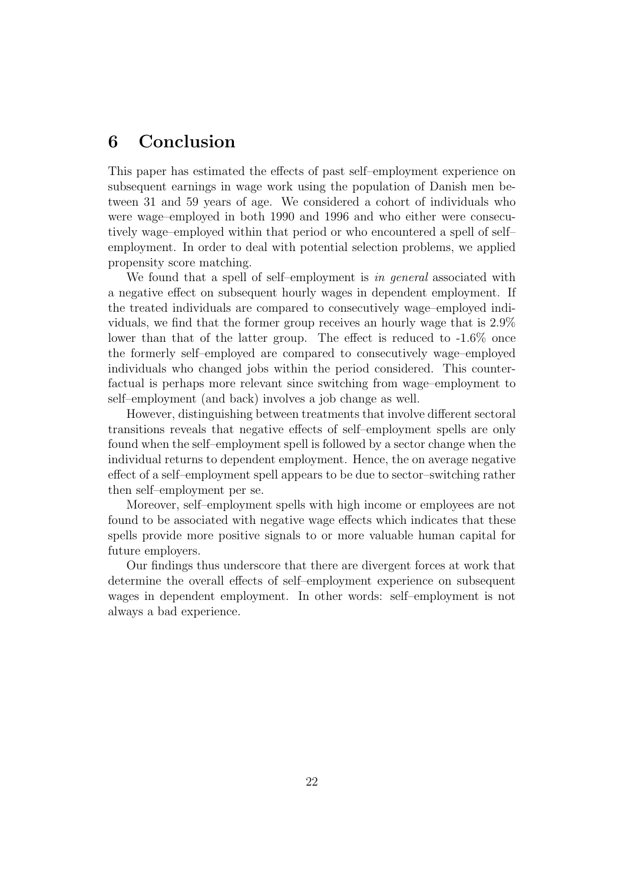# 6 Conclusion

This paper has estimated the effects of past self–employment experience on subsequent earnings in wage work using the population of Danish men between 31 and 59 years of age. We considered a cohort of individuals who were wage–employed in both 1990 and 1996 and who either were consecutively wage–employed within that period or who encountered a spell of self– employment. In order to deal with potential selection problems, we applied propensity score matching.

We found that a spell of self–employment is in general associated with a negative effect on subsequent hourly wages in dependent employment. If the treated individuals are compared to consecutively wage–employed individuals, we find that the former group receives an hourly wage that is 2.9% lower than that of the latter group. The effect is reduced to -1.6% once the formerly self–employed are compared to consecutively wage–employed individuals who changed jobs within the period considered. This counterfactual is perhaps more relevant since switching from wage–employment to self–employment (and back) involves a job change as well.

However, distinguishing between treatments that involve different sectoral transitions reveals that negative effects of self–employment spells are only found when the self–employment spell is followed by a sector change when the individual returns to dependent employment. Hence, the on average negative effect of a self–employment spell appears to be due to sector–switching rather then self–employment per se.

Moreover, self–employment spells with high income or employees are not found to be associated with negative wage effects which indicates that these spells provide more positive signals to or more valuable human capital for future employers.

Our findings thus underscore that there are divergent forces at work that determine the overall effects of self–employment experience on subsequent wages in dependent employment. In other words: self–employment is not always a bad experience.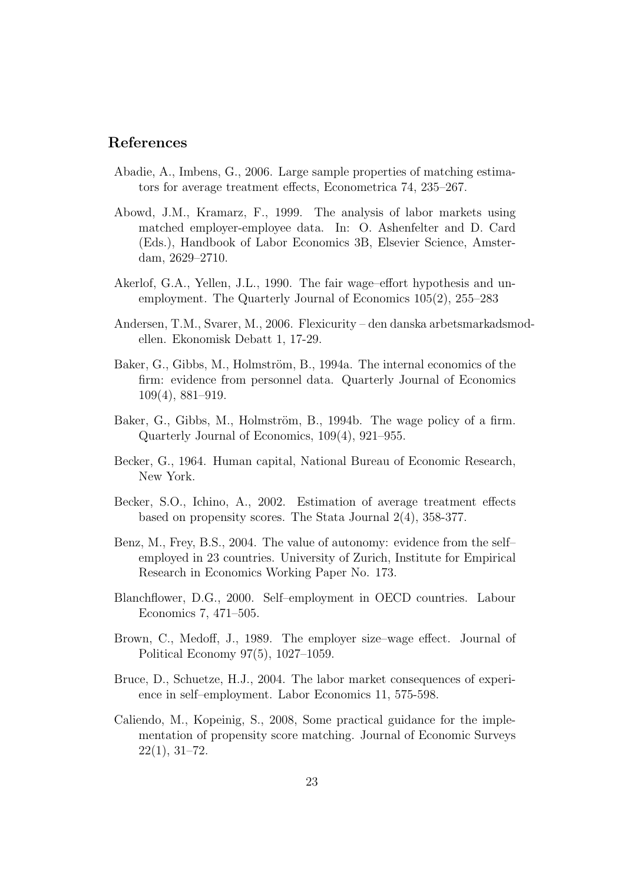## References

- Abadie, A., Imbens, G., 2006. Large sample properties of matching estimators for average treatment effects, Econometrica 74, 235–267.
- Abowd, J.M., Kramarz, F., 1999. The analysis of labor markets using matched employer-employee data. In: O. Ashenfelter and D. Card (Eds.), Handbook of Labor Economics 3B, Elsevier Science, Amsterdam, 2629–2710.
- Akerlof, G.A., Yellen, J.L., 1990. The fair wage–effort hypothesis and unemployment. The Quarterly Journal of Economics 105(2), 255–283
- Andersen, T.M., Svarer, M., 2006. Flexicurity den danska arbetsmarkadsmodellen. Ekonomisk Debatt 1, 17-29.
- Baker, G., Gibbs, M., Holmström, B., 1994a. The internal economics of the firm: evidence from personnel data. Quarterly Journal of Economics 109(4), 881–919.
- Baker, G., Gibbs, M., Holmström, B., 1994b. The wage policy of a firm. Quarterly Journal of Economics, 109(4), 921–955.
- Becker, G., 1964. Human capital, National Bureau of Economic Research, New York.
- Becker, S.O., Ichino, A., 2002. Estimation of average treatment effects based on propensity scores. The Stata Journal 2(4), 358-377.
- Benz, M., Frey, B.S., 2004. The value of autonomy: evidence from the self– employed in 23 countries. University of Zurich, Institute for Empirical Research in Economics Working Paper No. 173.
- Blanchflower, D.G., 2000. Self–employment in OECD countries. Labour Economics 7, 471–505.
- Brown, C., Medoff, J., 1989. The employer size–wage effect. Journal of Political Economy 97(5), 1027–1059.
- Bruce, D., Schuetze, H.J., 2004. The labor market consequences of experience in self–employment. Labor Economics 11, 575-598.
- Caliendo, M., Kopeinig, S., 2008, Some practical guidance for the implementation of propensity score matching. Journal of Economic Surveys  $22(1), 31-72.$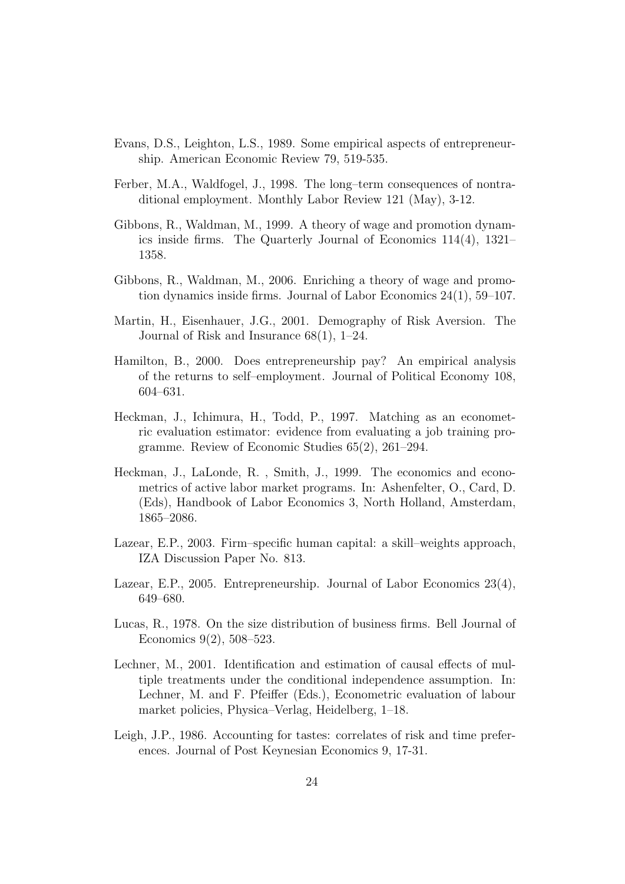- Evans, D.S., Leighton, L.S., 1989. Some empirical aspects of entrepreneurship. American Economic Review 79, 519-535.
- Ferber, M.A., Waldfogel, J., 1998. The long–term consequences of nontraditional employment. Monthly Labor Review 121 (May), 3-12.
- Gibbons, R., Waldman, M., 1999. A theory of wage and promotion dynamics inside firms. The Quarterly Journal of Economics 114(4), 1321– 1358.
- Gibbons, R., Waldman, M., 2006. Enriching a theory of wage and promotion dynamics inside firms. Journal of Labor Economics 24(1), 59–107.
- Martin, H., Eisenhauer, J.G., 2001. Demography of Risk Aversion. The Journal of Risk and Insurance 68(1), 1–24.
- Hamilton, B., 2000. Does entrepreneurship pay? An empirical analysis of the returns to self–employment. Journal of Political Economy 108, 604–631.
- Heckman, J., Ichimura, H., Todd, P., 1997. Matching as an econometric evaluation estimator: evidence from evaluating a job training programme. Review of Economic Studies 65(2), 261–294.
- Heckman, J., LaLonde, R. , Smith, J., 1999. The economics and econometrics of active labor market programs. In: Ashenfelter, O., Card, D. (Eds), Handbook of Labor Economics 3, North Holland, Amsterdam, 1865–2086.
- Lazear, E.P., 2003. Firm–specific human capital: a skill–weights approach, IZA Discussion Paper No. 813.
- Lazear, E.P., 2005. Entrepreneurship. Journal of Labor Economics 23(4), 649–680.
- Lucas, R., 1978. On the size distribution of business firms. Bell Journal of Economics 9(2), 508–523.
- Lechner, M., 2001. Identification and estimation of causal effects of multiple treatments under the conditional independence assumption. In: Lechner, M. and F. Pfeiffer (Eds.), Econometric evaluation of labour market policies, Physica–Verlag, Heidelberg, 1–18.
- Leigh, J.P., 1986. Accounting for tastes: correlates of risk and time preferences. Journal of Post Keynesian Economics 9, 17-31.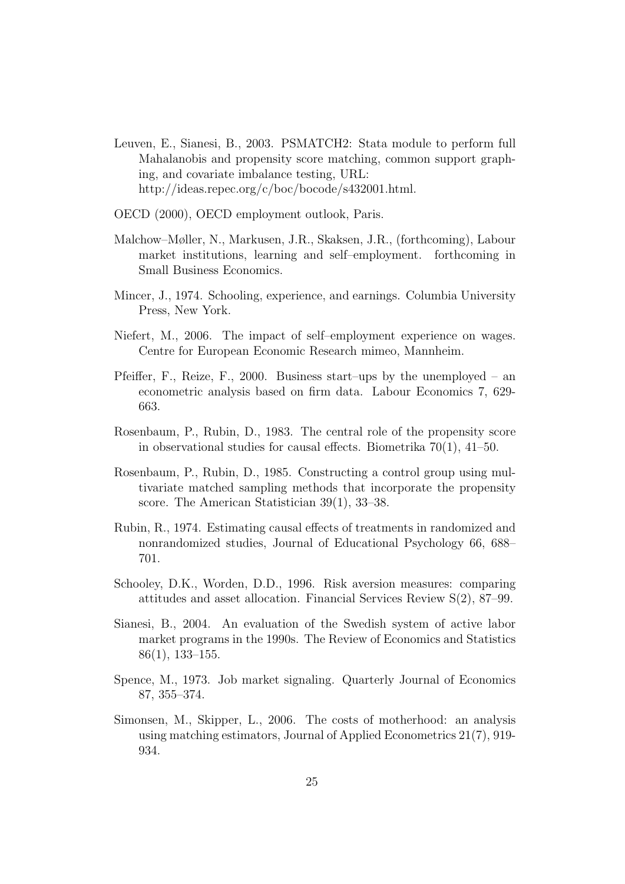- Leuven, E., Sianesi, B., 2003. PSMATCH2: Stata module to perform full Mahalanobis and propensity score matching, common support graphing, and covariate imbalance testing, URL: http://ideas.repec.org/c/boc/bocode/s432001.html.
- OECD (2000), OECD employment outlook, Paris.
- Malchow–Møller, N., Markusen, J.R., Skaksen, J.R., (forthcoming), Labour market institutions, learning and self–employment. forthcoming in Small Business Economics.
- Mincer, J., 1974. Schooling, experience, and earnings. Columbia University Press, New York.
- Niefert, M., 2006. The impact of self–employment experience on wages. Centre for European Economic Research mimeo, Mannheim.
- Pfeiffer, F., Reize, F., 2000. Business start–ups by the unemployed an econometric analysis based on firm data. Labour Economics 7, 629- 663.
- Rosenbaum, P., Rubin, D., 1983. The central role of the propensity score in observational studies for causal effects. Biometrika 70(1), 41–50.
- Rosenbaum, P., Rubin, D., 1985. Constructing a control group using multivariate matched sampling methods that incorporate the propensity score. The American Statistician 39(1), 33–38.
- Rubin, R., 1974. Estimating causal effects of treatments in randomized and nonrandomized studies, Journal of Educational Psychology 66, 688– 701.
- Schooley, D.K., Worden, D.D., 1996. Risk aversion measures: comparing attitudes and asset allocation. Financial Services Review S(2), 87–99.
- Sianesi, B., 2004. An evaluation of the Swedish system of active labor market programs in the 1990s. The Review of Economics and Statistics 86(1), 133–155.
- Spence, M., 1973. Job market signaling. Quarterly Journal of Economics 87, 355–374.
- Simonsen, M., Skipper, L., 2006. The costs of motherhood: an analysis using matching estimators, Journal of Applied Econometrics 21(7), 919- 934.